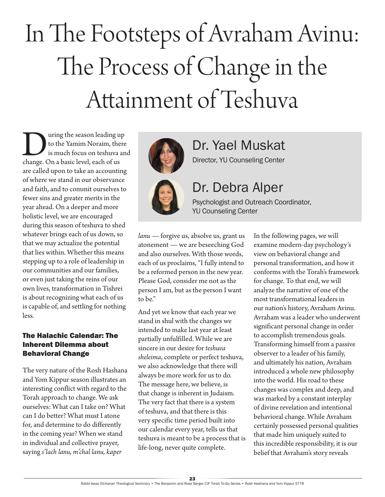# In The Footsteps of Avraham Avinu: The Process of Change in the Attainment of Teshuva

Using the season leading up<br>
to the Yamim Noraim, there<br>
is much focus on teshuva an<br>
change. On a basic level, each of us to the Yamim Noraim, there is much focus on teshuva and are called upon to take an accounting of where we stand in our observance and faith, and to commit ourselves to fewer sins and greater merits in the year ahead. On a deeper and more holistic level, we are encouraged during this season of teshuva to shed whatever brings each of us down, so that we may actualize the potential that lies within. Whether this means stepping up to a role of leadership in our communities and our families, or even just taking the reins of our own lives, transformation in Tishrei is about recognizing what each of us is capable of, and settling for nothing less.

#### The Halachic Calendar: The Inherent Dilemma about Behavioral Change

The very nature of the Rosh Hashana and Yom Kippur season illustrates an interesting conflict with regard to the Torah approach to change. We ask ourselves: What can I take on? What can I do better? What must I atone for, and determine to do differently in the coming year? When we stand in individual and collective prayer, saying *s'lach lanu, m'chal lanu, kaper* 



## Dr. Yael Muskat

Director, YU Counseling Center



### Dr. Debra Alper

Psychologist and Outreach Coordinator, YU Counseling Center

*lanu* — forgive us, absolve us, grant us atonement — we are beseeching God and also ourselves. With those words, each of us proclaims, "I fully intend to be a reformed person in the new year. Please God, consider me not as the person I am, but as the person I want to be."

And yet we know that each year we stand in shul with the changes we intended to make last year at least partially unfulfilled. While we are sincere in our desire for *teshuva sheleima*, complete or perfect teshuva, we also acknowledge that there will always be more work for us to do. The message here, we believe, is that change is inherent in Judaism. The very fact that there is a system of teshuva, and that there is this very specific time period built into our calendar every year, tells us that teshuva is meant to be a process that is life-long, never quite complete.

In the following pages, we will examine modern-day psychology's view on behavioral change and personal transformation, and how it conforms with the Torah's framework for change. To that end, we will analyze the narrative of one of the most transformational leaders in our nation's history, Avraham Avinu. Avraham was a leader who underwent significant personal change in order to accomplish tremendous goals. Transforming himself from a passive observer to a leader of his family, and ultimately his nation, Avraham introduced a whole new philosophy into the world. His road to these changes was complex and deep, and was marked by a constant interplay of divine revelation and intentional behavioral change. While Avraham certainly possessed personal qualities that made him uniquely suited to this incredible responsibility, it is our belief that Avraham's story reveals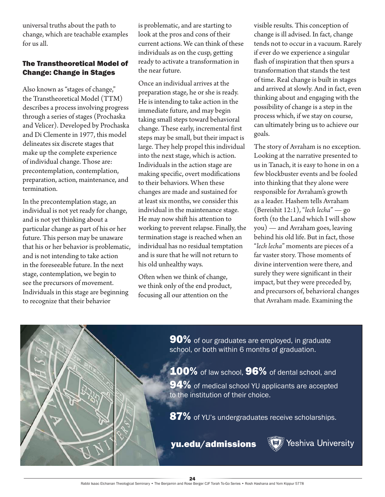universal truths about the path to change, which are teachable examples for us all.

#### The Transtheoretical Model of Change: Change in Stages

Also known as "stages of change," the Transtheoretical Model (TTM) describes a process involving progress through a series of stages (Prochaska and Velicer). Developed by Prochaska and Di Clemente in 1977, this model delineates six discrete stages that make up the complete experience of individual change. Those are: precontemplation, contemplation, preparation, action, maintenance, and termination.

In the precontemplation stage, an individual is not yet ready for change, and is not yet thinking about a particular change as part of his or her future. This person may be unaware that his or her behavior is problematic, and is not intending to take action in the foreseeable future. In the next stage, contemplation, we begin to see the precursors of movement. Individuals in this stage are beginning to recognize that their behavior

is problematic, and are starting to look at the pros and cons of their current actions. We can think of these individuals as on the cusp, getting ready to activate a transformation in the near future.

Once an individual arrives at the preparation stage, he or she is ready. He is intending to take action in the immediate future, and may begin taking small steps toward behavioral change. These early, incremental first steps may be small, but their impact is large. They help propel this individual into the next stage, which is action. Individuals in the action stage are making specific, overt modifications to their behaviors. When these changes are made and sustained for at least six months, we consider this individual in the maintenance stage. He may now shift his attention to working to prevent relapse. Finally, the termination stage is reached when an individual has no residual temptation and is sure that he will not return to his old unhealthy ways.

Often when we think of change, we think only of the end product, focusing all our attention on the

visible results. This conception of change is ill advised. In fact, change tends not to occur in a vacuum. Rarely if ever do we experience a singular flash of inspiration that then spurs a transformation that stands the test of time. Real change is built in stages and arrived at slowly. And in fact, even thinking about and engaging with the possibility of change is a step in the process which, if we stay on course, can ultimately bring us to achieve our goals.

The story of Avraham is no exception. Looking at the narrative presented to us in Tanach, it is easy to hone in on a few blockbuster events and be fooled into thinking that they alone were responsible for Avraham's growth as a leader. Hashem tells Avraham (Bereishit 12:1), "*lech lecha*" — go forth (to the Land which I will show you) — and Avraham goes, leaving behind his old life. But in fact, those "*lech lecha*" moments are pieces of a far vaster story. Those moments of divine intervention were there, and surely they were significant in their impact, but they were preceded by, and precursors of, behavioral changes that Avraham made. Examining the



100% of law school, 96% of dental school, and 94% of medical school YU applicants are accepted to the institution of their choice.

87% of YU's undergraduates receive scholarships.

yu.edu/admissions

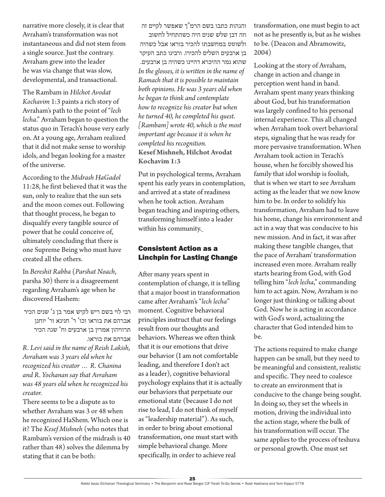narrative more closely, it is clear that Avraham's transformation was not instantaneous and did not stem from a single source. Just the contrary. Avraham grew into the leader he was via change that was slow, developmental, and transactional.

The Rambam in *Hilchot Avodat Kochavim* 1:3 paints a rich story of Avraham's path to the point of "*lech lecha*." Avraham began to question the status quo in Terach's house very early on. At a young age, Avraham realized that it did not make sense to worship idols, and began looking for a master of the universe.

According to the *Midrash HaGadol*  11:28, he first believed that it was the sun, only to realize that the sun sets and the moon comes out. Following that thought process, he began to disqualify every tangible source of power that he could conceive of, ultimately concluding that there is one Supreme Being who must have created all the others.

In *Bereshit Rabba* (*Parshat Noach*, parsha 30) there is a disagreement regarding Avraham's age when he discovered Hashem:

רבי לוי בשם ריש לקיש אמר בן ג' שנים הכיר אברהם את בוראו וכו' ר' חנינא ור' יוחנן תרוויהון אמרין בן ארבעים וח' שנה הכיר אברהם את בוראו.

*R. Levi said in the name of Reish Lakish, Avraham was 3 years old when he recognized his creator … R. Chanina and R. Yochanan say that Avraham was 48 years old when he recognized his creator.*

There seems to be a dispute as to whether Avraham was 3 or 48 when he recognized HaShem. Which one is it? The *Kesef Mishneh* (who notes that Rambam's version of the midrash is 40 rather than 48) solves the dilemma by stating that it can be both:

והגהות כתבו בשם הרמ"ך שאפשר לקיים זה

וזה דבן שלש שנים היה כשהתחיל לחשוב ולשוטט במחשבתו להכיר בוראו אבל כשהיה בן ארבעים השלים להכירו. ורבינו כתב העיקר שהוא גמר ההיכרא דהיינו כשהיה בן ארבעים. *In the glosses, it is written in the name of Ramach that it is possible to maintain both opinions. He was 3 years old when he began to think and contemplate how to recognize his creator but when he turned 40, he completed his quest. [Rambam] wrote 40, which is the most important age because it is when he completed his recognition.* **Kesef Mishneh, Hilchot Avodat Kochavim 1:3**

Put in psychological terms, Avraham spent his early years in contemplation, and arrived at a state of readiness when he took action. Avraham began teaching and inspiring others, transforming himself into a leader within his community.

#### Consistent Action as a Linchpin for Lasting Change

After many years spent in contemplation of change, it is telling that a major boost in transformation came after Avraham's "*lech lecha*" moment. Cognitive behavioral principles instruct that our feelings result from our thoughts and behaviors. Whereas we often think that it is our emotions that drive our behavior (I am not comfortable leading, and therefore I don't act as a leader), cognitive behavioral psychology explains that it is actually our behaviors that perpetuate our emotional state (because I do not rise to lead, I do not think of myself as "leadership material"). As such, in order to bring about emotional transformation, one must start with simple behavioral change. More specifically, in order to achieve real

transformation, one must begin to act not as he presently is, but as he wishes to be. (Deacon and Abramowitz, 2004)

Looking at the story of Avraham, change in action and change in perception went hand in hand. Avraham spent many years thinking about God, but his transformation was largely confined to his personal internal experience. This all changed when Avraham took overt behavioral steps, signaling that he was ready for more pervasive transformation. When Avraham took action in Terach's house, when he forcibly showed his family that idol worship is foolish, that is when we start to see Avraham acting as the leader that we now know him to be. In order to solidify his transformation, Avraham had to leave his home, change his environment and act in a way that was conducive to his new mission. And in fact, it was after making these tangible changes, that the pace of Avraham' transformation increased even more. Avraham really starts hearing from God, with God telling him "*lech lecha*," commanding him to act again. Now, Avraham is no longer just thinking or talking about God. Now he is acting in accordance with God's word, actualizing the character that God intended him to be.

The actions required to make change happen can be small, but they need to be meaningful and consistent, realistic and specific. They need to coalesce to create an environment that is conducive to the change being sought. In doing so, they set the wheels in motion, driving the individual into the action stage, where the bulk of his transformation will occur. The same applies to the process of teshuva or personal growth. One must set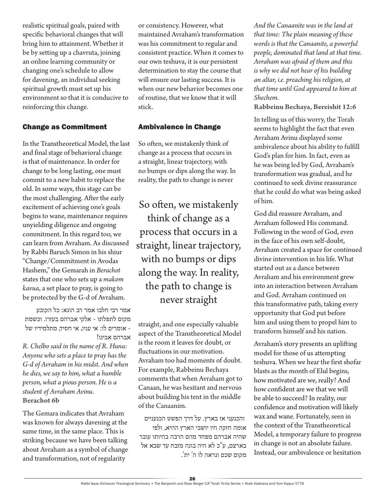realistic spiritual goals, paired with specific behavioral changes that will bring him to attainment. Whether it be by setting up a chavruta, joining an online learning community or changing one's schedule to allow for davening, an individual seeking spiritual growth must set up his environment so that it is conducive to reinforcing this change.

#### Change as Commitment

In the Transtheoretical Model, the last and final stage of behavioral change is that of maintenance. In order for change to be long lasting, one must commit to a new habit to replace the old. In some ways, this stage can be the most challenging. After the early excitement of achieving one's goals begins to wane, maintenance requires unyielding diligence and ongoing commitment. In this regard too, we can learn from Avraham. As discussed by Rabbi Baruch Simon in his shiur "Change/Commitment in Avodas Hashem," the Gemarah in *Berachot* states that one who sets up a *makom kavua*, a set place to pray, is going to be protected by the G-d of Avraham.

אמר רבי חלבו אמר רב הונא: כל הקובע מקום לתפלתו - אלקי אברהם בעזרו. וכשמת - אומרים לו: אי עניו, אי חסיד, מתלמידיו של אברהם אבינו!

*R. Chelbo said in the name of R. Huna: Anyone who sets a place to pray has the G-d of Avraham in his midst. And when he dies, we say to him, what a humble person, what a pious person. He is a student of Avraham Avinu.* **Berachot 6b**

The Gemara indicates that Avraham was known for always davening at the same time, in the same place. This is striking because we have been talking about Avraham as a symbol of change and transformation, not of regularity

or consistency. However, what maintained Avraham's transformation was his commitment to regular and consistent practice. When it comes to our own teshuva, it is our persistent determination to stay the course that will ensure our lasting success. It is when our new behavior becomes one of routine, that we know that it will stick.

#### Ambivalence in Change

So often, we mistakenly think of change as a process that occurs in a straight, linear trajectory, with no bumps or dips along the way. In reality, the path to change is never

So often, we mistakenly think of change as a process that occurs in a straight, linear trajectory, with no bumps or dips along the way. In reality, the path to change is never straight

straight, and one especially valuable aspect of the Transtheoretical Model is the room it leaves for doubt, or fluctuations in our motivation. Avraham too had moments of doubt. For example, Rabbeinu Bechaya comments that when Avraham got to Canaan, he was hesitant and nervous about building his tent in the middle of the Canaanim.

והכנעני אז בארץ. על דרך הפשט הכנעניים אומה חזקה היו יושבי הארץ ההיא, ולפי שהיה אברהם מפחד מהם הרבה בהיותו עובר בארצם, ע"כ לא היה בונה מזבח עד שבא אל מקום שכם ונראה לו ה' ית'.

*And the Canaanite was in the land at that time: The plain meaning of these words is that the Canaanite, a powerful people, dominated that land at that time. Avraham was afraid of them and this is why we did not hear of his building an altar, i.e. preaching his religion, at that time until God appeared to him at Shechem.*

**Rabbeinu Bechaya, Bereishit 12:6**

In telling us of this worry, the Torah seems to highlight the fact that even Avraham Avinu displayed some ambivalence about his ability to fulfill God's plan for him. In fact, even as he was being led by God, Avraham's transformation was gradual, and he continued to seek divine reassurance that he could do what was being asked of him.

God did reassure Avraham, and Avraham followed His command. Following in the word of God, even in the face of his own self-doubt, Avraham created a space for continued divine intervention in his life. What started out as a dance between Avraham and his environment grew into an interaction between Avraham and God. Avraham continued on this transformative path, taking every opportunity that God put before him and using them to propel him to transform himself and his nation.

Avraham's story presents an uplifting model for those of us attempting teshuva. When we hear the first shofar blasts as the month of Elul begins, how motivated are we, really? And how confident are we that we will be able to succeed? In reality, our confidence and motivation will likely wax and wane. Fortunately, seen in the context of the Transtheoretical Model, a temporary failure to progress in change is not an absolute failure. Instead, our ambivalence or hesitation